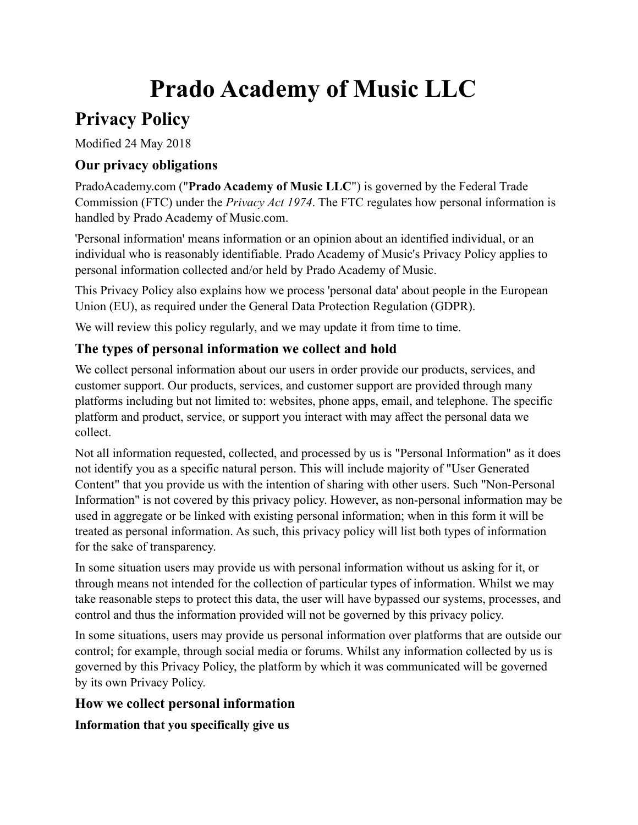# **Prado Academy of Music LLC**

# **Privacy Policy**

Modified 24 May 2018

# **Our privacy obligations**

PradoAcademy.com ("**Prado Academy of Music LLC**") is governed by the Federal Trade Commission (FTC) under the *Privacy Act 1974*. The FTC regulates how personal information is handled by Prado Academy of Music.com.

'Personal information' means information or an opinion about an identified individual, or an individual who is reasonably identifiable. Prado Academy of Music's Privacy Policy applies to personal information collected and/or held by Prado Academy of Music.

This Privacy Policy also explains how we process 'personal data' about people in the European Union (EU), as required under the General Data Protection Regulation (GDPR).

We will review this policy regularly, and we may update it from time to time.

# **The types of personal information we collect and hold**

We collect personal information about our users in order provide our products, services, and customer support. Our products, services, and customer support are provided through many platforms including but not limited to: websites, phone apps, email, and telephone. The specific platform and product, service, or support you interact with may affect the personal data we collect.

Not all information requested, collected, and processed by us is "Personal Information" as it does not identify you as a specific natural person. This will include majority of "User Generated Content" that you provide us with the intention of sharing with other users. Such "Non-Personal Information" is not covered by this privacy policy. However, as non-personal information may be used in aggregate or be linked with existing personal information; when in this form it will be treated as personal information. As such, this privacy policy will list both types of information for the sake of transparency.

In some situation users may provide us with personal information without us asking for it, or through means not intended for the collection of particular types of information. Whilst we may take reasonable steps to protect this data, the user will have bypassed our systems, processes, and control and thus the information provided will not be governed by this privacy policy.

In some situations, users may provide us personal information over platforms that are outside our control; for example, through social media or forums. Whilst any information collected by us is governed by this Privacy Policy, the platform by which it was communicated will be governed by its own Privacy Policy.

# **How we collect personal information**

**Information that you specifically give us**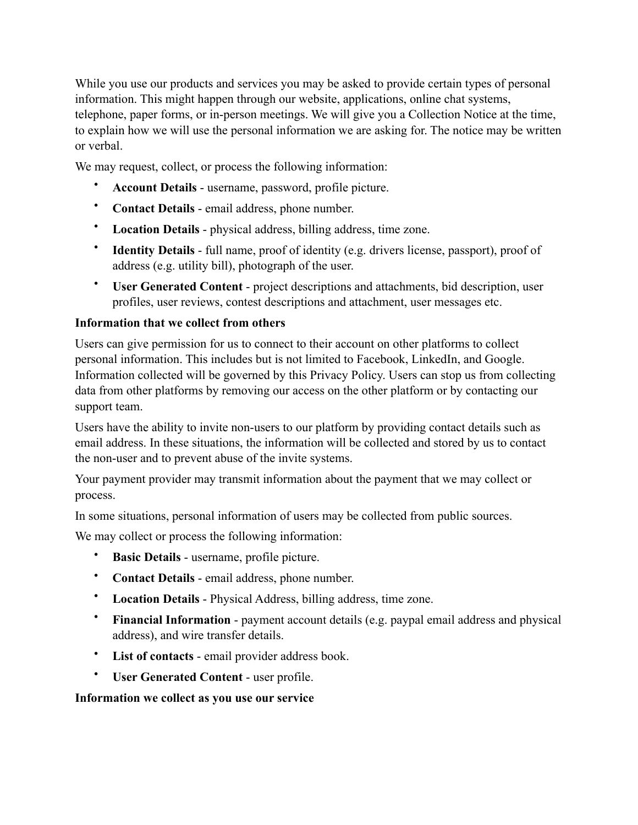While you use our products and services you may be asked to provide certain types of personal information. This might happen through our website, applications, online chat systems, telephone, paper forms, or in-person meetings. We will give you a Collection Notice at the time, to explain how we will use the personal information we are asking for. The notice may be written or verbal.

We may request, collect, or process the following information:

- **Account Details** username, password, profile picture.
- **Contact Details** email address, phone number.
- **Location Details** physical address, billing address, time zone.
- **Identity Details** full name, proof of identity (e.g. drivers license, passport), proof of address (e.g. utility bill), photograph of the user.
- **User Generated Content** project descriptions and attachments, bid description, user profiles, user reviews, contest descriptions and attachment, user messages etc.

#### **Information that we collect from others**

Users can give permission for us to connect to their account on other platforms to collect personal information. This includes but is not limited to Facebook, LinkedIn, and Google. Information collected will be governed by this Privacy Policy. Users can stop us from collecting data from other platforms by removing our access on the other platform or by contacting our support team.

Users have the ability to invite non-users to our platform by providing contact details such as email address. In these situations, the information will be collected and stored by us to contact the non-user and to prevent abuse of the invite systems.

Your payment provider may transmit information about the payment that we may collect or process.

In some situations, personal information of users may be collected from public sources.

We may collect or process the following information:

- **Basic Details** username, profile picture.
- **Contact Details** email address, phone number.
- **Location Details** Physical Address, billing address, time zone.
- **Financial Information** payment account details (e.g. paypal email address and physical address), and wire transfer details.
- **List of contacts** email provider address book.
- **User Generated Content** user profile.

#### **Information we collect as you use our service**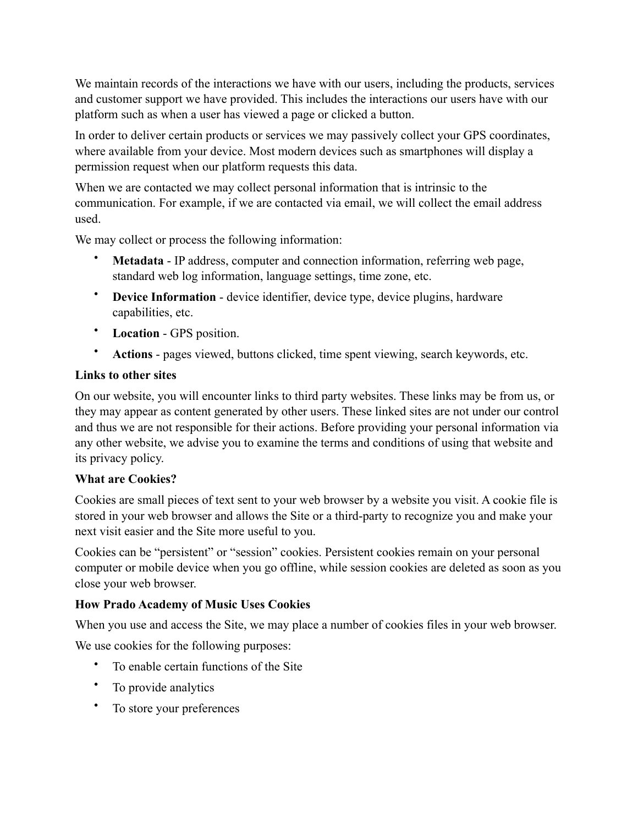We maintain records of the interactions we have with our users, including the products, services and customer support we have provided. This includes the interactions our users have with our platform such as when a user has viewed a page or clicked a button.

In order to deliver certain products or services we may passively collect your GPS coordinates, where available from your device. Most modern devices such as smartphones will display a permission request when our platform requests this data.

When we are contacted we may collect personal information that is intrinsic to the communication. For example, if we are contacted via email, we will collect the email address used.

We may collect or process the following information:

- **Metadata** IP address, computer and connection information, referring web page, standard web log information, language settings, time zone, etc.
- **Device Information** device identifier, device type, device plugins, hardware capabilities, etc.
- **Location** GPS position.
- **Actions** pages viewed, buttons clicked, time spent viewing, search keywords, etc.

#### **Links to other sites**

On our website, you will encounter links to third party websites. These links may be from us, or they may appear as content generated by other users. These linked sites are not under our control and thus we are not responsible for their actions. Before providing your personal information via any other website, we advise you to examine the terms and conditions of using that website and its privacy policy.

#### **What are Cookies?**

Cookies are small pieces of text sent to your web browser by a website you visit. A cookie file is stored in your web browser and allows the Site or a third-party to recognize you and make your next visit easier and the Site more useful to you.

Cookies can be "persistent" or "session" cookies. Persistent cookies remain on your personal computer or mobile device when you go offline, while session cookies are deleted as soon as you close your web browser.

#### **How Prado Academy of Music Uses Cookies**

When you use and access the Site, we may place a number of cookies files in your web browser.

We use cookies for the following purposes:

- To enable certain functions of the Site
- To provide analytics
- To store your preferences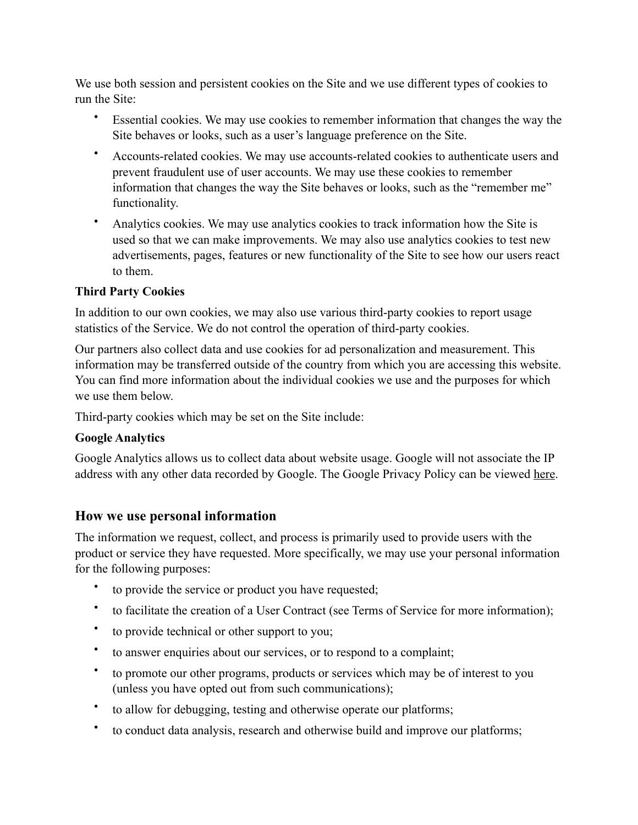We use both session and persistent cookies on the Site and we use different types of cookies to run the Site:

- Essential cookies. We may use cookies to remember information that changes the way the Site behaves or looks, such as a user's language preference on the Site.
- Accounts-related cookies. We may use accounts-related cookies to authenticate users and prevent fraudulent use of user accounts. We may use these cookies to remember information that changes the way the Site behaves or looks, such as the "remember me" functionality.
- Analytics cookies. We may use analytics cookies to track information how the Site is used so that we can make improvements. We may also use analytics cookies to test new advertisements, pages, features or new functionality of the Site to see how our users react to them.

#### **Third Party Cookies**

In addition to our own cookies, we may also use various third-party cookies to report usage statistics of the Service. We do not control the operation of third-party cookies.

Our partners also collect data and use cookies for ad personalization and measurement. This information may be transferred outside of the country from which you are accessing this website. You can find more information about the individual cookies we use and the purposes for which we use them below.

Third-party cookies which may be set on the Site include:

#### **Google Analytics**

Google Analytics allows us to collect data about website usage. Google will not associate the IP address with any other data recorded by Google. The Google Privacy Policy can be viewed [here.](https://www.google.com/policies/privacy/)

#### **How we use personal information**

The information we request, collect, and process is primarily used to provide users with the product or service they have requested. More specifically, we may use your personal information for the following purposes:

- to provide the service or product you have requested;
- to facilitate the creation of a User Contract (see Terms of Service for more information);
- to provide technical or other support to you;
- to answer enquiries about our services, or to respond to a complaint;
- to promote our other programs, products or services which may be of interest to you (unless you have opted out from such communications);
- to allow for debugging, testing and otherwise operate our platforms;
- to conduct data analysis, research and otherwise build and improve our platforms;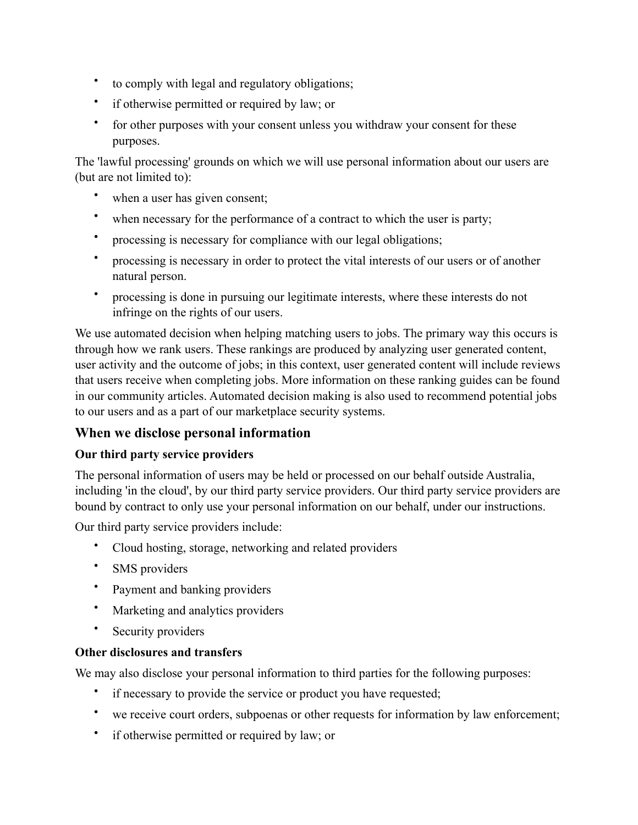- to comply with legal and regulatory obligations;
- if otherwise permitted or required by law; or
- for other purposes with your consent unless you withdraw your consent for these purposes.

The 'lawful processing' grounds on which we will use personal information about our users are (but are not limited to):

- when a user has given consent;
- when necessary for the performance of a contract to which the user is party;
- processing is necessary for compliance with our legal obligations;
- processing is necessary in order to protect the vital interests of our users or of another natural person.
- processing is done in pursuing our legitimate interests, where these interests do not infringe on the rights of our users.

We use automated decision when helping matching users to jobs. The primary way this occurs is through how we rank users. These rankings are produced by analyzing user generated content, user activity and the outcome of jobs; in this context, user generated content will include reviews that users receive when completing jobs. More information on these ranking guides can be found in our community articles. Automated decision making is also used to recommend potential jobs to our users and as a part of our marketplace security systems.

# **When we disclose personal information**

#### **Our third party service providers**

The personal information of users may be held or processed on our behalf outside Australia, including 'in the cloud', by our third party service providers. Our third party service providers are bound by contract to only use your personal information on our behalf, under our instructions.

Our third party service providers include:

- Cloud hosting, storage, networking and related providers
- SMS providers
- Payment and banking providers
- Marketing and analytics providers
- Security providers

#### **Other disclosures and transfers**

We may also disclose your personal information to third parties for the following purposes:

- if necessary to provide the service or product you have requested;
- we receive court orders, subpoenas or other requests for information by law enforcement;
- if otherwise permitted or required by law; or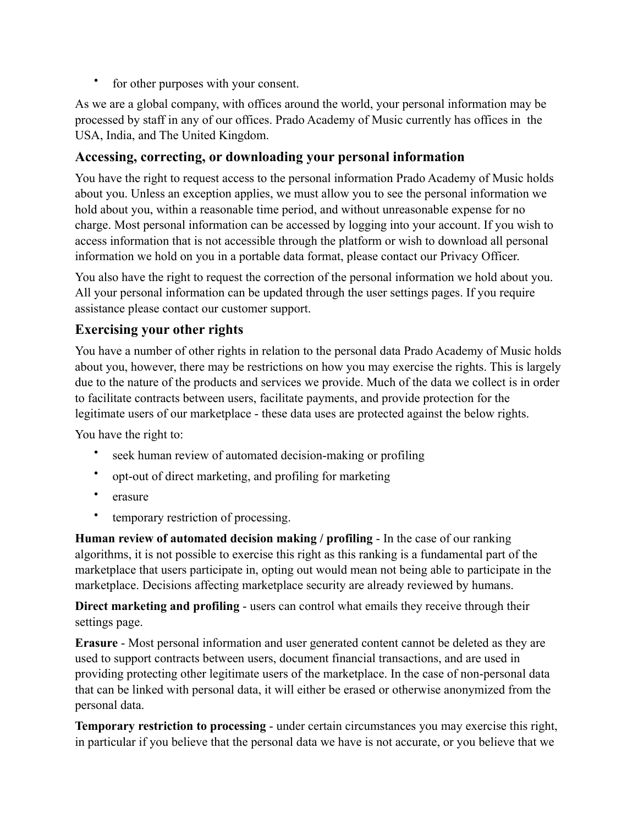• for other purposes with your consent.

As we are a global company, with offices around the world, your personal information may be processed by staff in any of our offices. Prado Academy of Music currently has offices in the USA, India, and The United Kingdom.

### **Accessing, correcting, or downloading your personal information**

You have the right to request access to the personal information Prado Academy of Music holds about you. Unless an exception applies, we must allow you to see the personal information we hold about you, within a reasonable time period, and without unreasonable expense for no charge. Most personal information can be accessed by logging into your account. If you wish to access information that is not accessible through the platform or wish to download all personal information we hold on you in a portable data format, please contact our Privacy Officer.

You also have the right to request the correction of the personal information we hold about you. All your personal information can be updated through the user settings pages. If you require assistance please contact our customer support.

#### **Exercising your other rights**

You have a number of other rights in relation to the personal data Prado Academy of Music holds about you, however, there may be restrictions on how you may exercise the rights. This is largely due to the nature of the products and services we provide. Much of the data we collect is in order to facilitate contracts between users, facilitate payments, and provide protection for the legitimate users of our marketplace - these data uses are protected against the below rights.

You have the right to:

- seek human review of automated decision-making or profiling
- opt-out of direct marketing, and profiling for marketing
- erasure
- temporary restriction of processing.

**Human review of automated decision making / profiling** - In the case of our ranking algorithms, it is not possible to exercise this right as this ranking is a fundamental part of the marketplace that users participate in, opting out would mean not being able to participate in the marketplace. Decisions affecting marketplace security are already reviewed by humans.

**Direct marketing and profiling** - users can control what emails they receive through their settings page.

**Erasure** - Most personal information and user generated content cannot be deleted as they are used to support contracts between users, document financial transactions, and are used in providing protecting other legitimate users of the marketplace. In the case of non-personal data that can be linked with personal data, it will either be erased or otherwise anonymized from the personal data.

**Temporary restriction to processing** - under certain circumstances you may exercise this right, in particular if you believe that the personal data we have is not accurate, or you believe that we